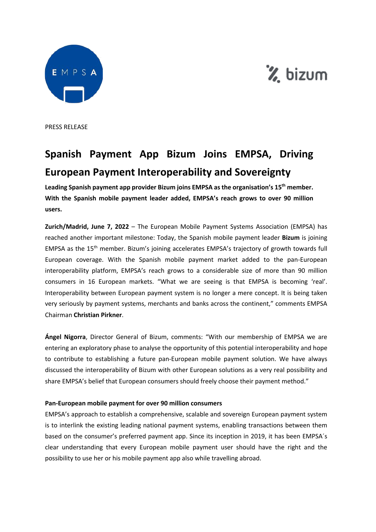



PRESS RELEASE

# **Spanish Payment App Bizum Joins EMPSA, Driving European Payment Interoperability and Sovereignty**

**Leading Spanish payment app provider Bizum joins EMPSA as the organisation's 15th member. With the Spanish mobile payment leader added, EMPSA's reach grows to over 90 million users.**

**Zurich/Madrid, June 7, 2022** – The European Mobile Payment Systems Association (EMPSA) has reached another important milestone: Today, the Spanish mobile payment leader **Bizum** is joining EMPSA as the 15th member. Bizum's joining accelerates EMPSA's trajectory of growth towards full European coverage. With the Spanish mobile payment market added to the pan-European interoperability platform, EMPSA's reach grows to a considerable size of more than 90 million consumers in 16 European markets. "What we are seeing is that EMPSA is becoming 'real'. Interoperability between European payment system is no longer a mere concept. It is being taken very seriously by payment systems, merchants and banks across the continent," comments EMPSA Chairman **Christian Pirkner**.

**Ángel Nigorra**, Director General of Bizum, comments: "With our membership of EMPSA we are entering an exploratory phase to analyse the opportunity of this potential interoperability and hope to contribute to establishing a future pan-European mobile payment solution. We have always discussed the interoperability of Bizum with other European solutions as a very real possibility and share EMPSA's belief that European consumers should freely choose their payment method."

## **Pan-European mobile payment for over 90 million consumers**

EMPSA's approach to establish a comprehensive, scalable and sovereign European payment system is to interlink the existing leading national payment systems, enabling transactions between them based on the consumer's preferred payment app. Since its inception in 2019, it has been EMPSA´s clear understanding that every European mobile payment user should have the right and the possibility to use her or his mobile payment app also while travelling abroad.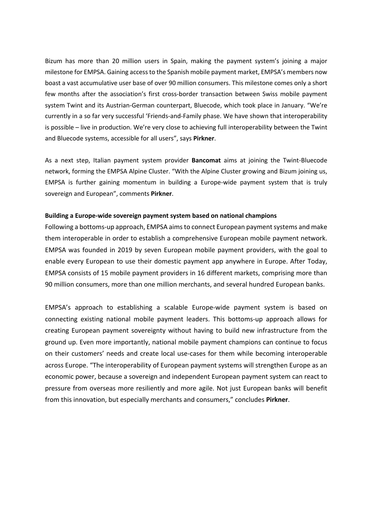Bizum has more than 20 million users in Spain, making the payment system's joining a major milestone for EMPSA. Gaining access to the Spanish mobile payment market, EMPSA's members now boast a vast accumulative user base of over 90 million consumers. This milestone comes only a short few months after the association's first cross-border transaction between Swiss mobile payment system Twint and its Austrian-German counterpart, Bluecode, which took place in January. "We're currently in a so far very successful 'Friends-and-Family phase. We have shown that interoperability is possible – live in production. We're very close to achieving full interoperability between the Twint and Bluecode systems, accessible for all users", says **Pirkner**.

As a next step, Italian payment system provider **Bancomat** aims at joining the Twint-Bluecode network, forming the EMPSA Alpine Cluster. "With the Alpine Cluster growing and Bizum joining us, EMPSA is further gaining momentum in building a Europe-wide payment system that is truly sovereign and European", comments **Pirkner**.

#### **Building a Europe-wide sovereign payment system based on national champions**

Following a bottoms-up approach, EMPSA aims to connect European payment systems and make them interoperable in order to establish a comprehensive European mobile payment network. EMPSA was founded in 2019 by seven European mobile payment providers, with the goal to enable every European to use their domestic payment app anywhere in Europe. After Today, EMPSA consists of 15 mobile payment providers in 16 different markets, comprising more than 90 million consumers, more than one million merchants, and several hundred European banks.

EMPSA's approach to establishing a scalable Europe-wide payment system is based on connecting existing national mobile payment leaders. This bottoms-up approach allows for creating European payment sovereignty without having to build new infrastructure from the ground up. Even more importantly, national mobile payment champions can continue to focus on their customers' needs and create local use-cases for them while becoming interoperable across Europe. "The interoperability of European payment systems will strengthen Europe as an economic power, because a sovereign and independent European payment system can react to pressure from overseas more resiliently and more agile. Not just European banks will benefit from this innovation, but especially merchants and consumers," concludes **Pirkner**.